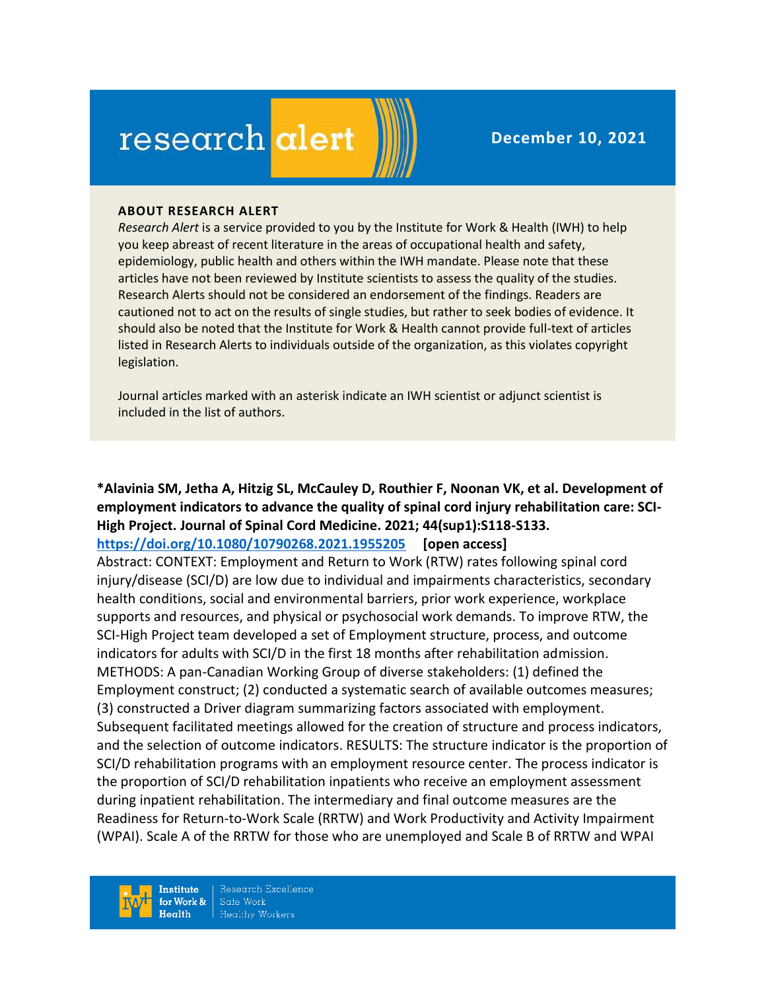# research alert

#### **ABOUT RESEARCH ALERT**

*Research Alert* is a service provided to you by the Institute for Work & Health (IWH) to help you keep abreast of recent literature in the areas of occupational health and safety, epidemiology, public health and others within the IWH mandate. Please note that these articles have not been reviewed by Institute scientists to assess the quality of the studies. Research Alerts should not be considered an endorsement of the findings. Readers are cautioned not to act on the results of single studies, but rather to seek bodies of evidence. It should also be noted that the Institute for Work & Health cannot provide full-text of articles listed in Research Alerts to individuals outside of the organization, as this violates copyright legislation.

Journal articles marked with an asterisk indicate an IWH scientist or adjunct scientist is included in the list of authors.

# **\*Alavinia SM, Jetha A, Hitzig SL, McCauley D, Routhier F, Noonan VK, et al. Development of employment indicators to advance the quality of spinal cord injury rehabilitation care: SCI-High Project. Journal of Spinal Cord Medicine. 2021; 44(sup1):S118-S133.**

## **<https://doi.org/10.1080/10790268.2021.1955205> [open access]**

Abstract: CONTEXT: Employment and Return to Work (RTW) rates following spinal cord injury/disease (SCI/D) are low due to individual and impairments characteristics, secondary health conditions, social and environmental barriers, prior work experience, workplace supports and resources, and physical or psychosocial work demands. To improve RTW, the SCI-High Project team developed a set of Employment structure, process, and outcome indicators for adults with SCI/D in the first 18 months after rehabilitation admission. METHODS: A pan-Canadian Working Group of diverse stakeholders: (1) defined the Employment construct; (2) conducted a systematic search of available outcomes measures; (3) constructed a Driver diagram summarizing factors associated with employment. Subsequent facilitated meetings allowed for the creation of structure and process indicators, and the selection of outcome indicators. RESULTS: The structure indicator is the proportion of SCI/D rehabilitation programs with an employment resource center. The process indicator is the proportion of SCI/D rehabilitation inpatients who receive an employment assessment during inpatient rehabilitation. The intermediary and final outcome measures are the Readiness for Return-to-Work Scale (RRTW) and Work Productivity and Activity Impairment (WPAI). Scale A of the RRTW for those who are unemployed and Scale B of RRTW and WPAI

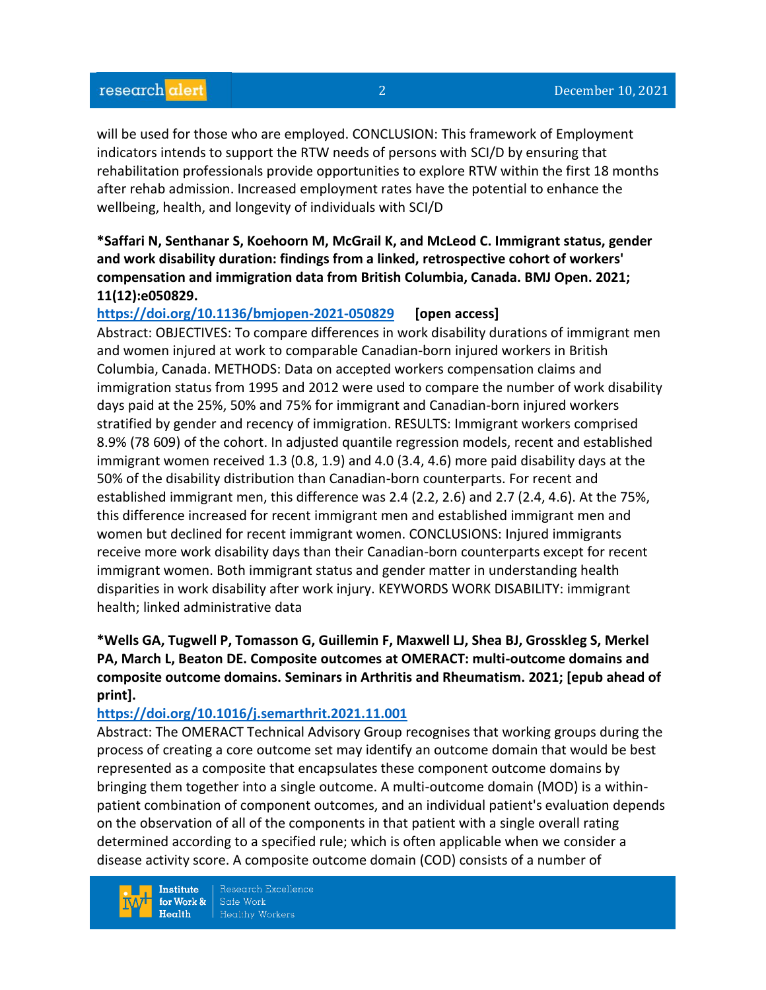will be used for those who are employed. CONCLUSION: This framework of Employment indicators intends to support the RTW needs of persons with SCI/D by ensuring that rehabilitation professionals provide opportunities to explore RTW within the first 18 months after rehab admission. Increased employment rates have the potential to enhance the wellbeing, health, and longevity of individuals with SCI/D

## **\*Saffari N, Senthanar S, Koehoorn M, McGrail K, and McLeod C. Immigrant status, gender and work disability duration: findings from a linked, retrospective cohort of workers' compensation and immigration data from British Columbia, Canada. BMJ Open. 2021; 11(12):e050829.**

**<https://doi.org/10.1136/bmjopen-2021-050829> [open access]** 

Abstract: OBJECTIVES: To compare differences in work disability durations of immigrant men and women injured at work to comparable Canadian-born injured workers in British Columbia, Canada. METHODS: Data on accepted workers compensation claims and immigration status from 1995 and 2012 were used to compare the number of work disability days paid at the 25%, 50% and 75% for immigrant and Canadian-born injured workers stratified by gender and recency of immigration. RESULTS: Immigrant workers comprised 8.9% (78 609) of the cohort. In adjusted quantile regression models, recent and established immigrant women received 1.3 (0.8, 1.9) and 4.0 (3.4, 4.6) more paid disability days at the 50% of the disability distribution than Canadian-born counterparts. For recent and established immigrant men, this difference was 2.4 (2.2, 2.6) and 2.7 (2.4, 4.6). At the 75%, this difference increased for recent immigrant men and established immigrant men and women but declined for recent immigrant women. CONCLUSIONS: Injured immigrants receive more work disability days than their Canadian-born counterparts except for recent immigrant women. Both immigrant status and gender matter in understanding health disparities in work disability after work injury. KEYWORDS WORK DISABILITY: immigrant health; linked administrative data

# **\*Wells GA, Tugwell P, Tomasson G, Guillemin F, Maxwell LJ, Shea BJ, Grosskleg S, Merkel PA, March L, Beaton DE. Composite outcomes at OMERACT: multi-outcome domains and composite outcome domains. Seminars in Arthritis and Rheumatism. 2021; [epub ahead of print].**

## **<https://doi.org/10.1016/j.semarthrit.2021.11.001>**

Abstract: The OMERACT Technical Advisory Group recognises that working groups during the process of creating a core outcome set may identify an outcome domain that would be best represented as a composite that encapsulates these component outcome domains by bringing them together into a single outcome. A multi-outcome domain (MOD) is a withinpatient combination of component outcomes, and an individual patient's evaluation depends on the observation of all of the components in that patient with a single overall rating determined according to a specified rule; which is often applicable when we consider a disease activity score. A composite outcome domain (COD) consists of a number of

**Institute** for Work &  $Heath$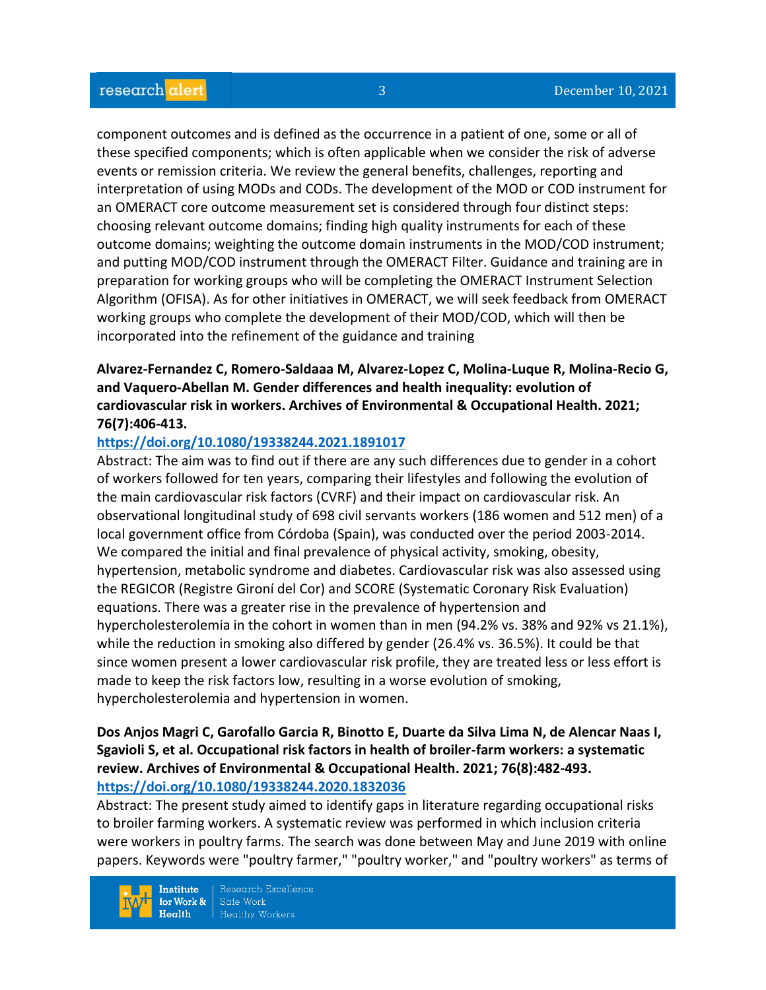component outcomes and is defined as the occurrence in a patient of one, some or all of these specified components; which is often applicable when we consider the risk of adverse events or remission criteria. We review the general benefits, challenges, reporting and interpretation of using MODs and CODs. The development of the MOD or COD instrument for an OMERACT core outcome measurement set is considered through four distinct steps: choosing relevant outcome domains; finding high quality instruments for each of these outcome domains; weighting the outcome domain instruments in the MOD/COD instrument; and putting MOD/COD instrument through the OMERACT Filter. Guidance and training are in preparation for working groups who will be completing the OMERACT Instrument Selection Algorithm (OFISA). As for other initiatives in OMERACT, we will seek feedback from OMERACT working groups who complete the development of their MOD/COD, which will then be incorporated into the refinement of the guidance and training

## **Alvarez-Fernandez C, Romero-Saldaaa M, Alvarez-Lopez C, Molina-Luque R, Molina-Recio G, and Vaquero-Abellan M. Gender differences and health inequality: evolution of cardiovascular risk in workers. Archives of Environmental & Occupational Health. 2021; 76(7):406-413.**

#### **<https://doi.org/10.1080/19338244.2021.1891017>**

Abstract: The aim was to find out if there are any such differences due to gender in a cohort of workers followed for ten years, comparing their lifestyles and following the evolution of the main cardiovascular risk factors (CVRF) and their impact on cardiovascular risk. An observational longitudinal study of 698 civil servants workers (186 women and 512 men) of a local government office from Córdoba (Spain), was conducted over the period 2003-2014. We compared the initial and final prevalence of physical activity, smoking, obesity, hypertension, metabolic syndrome and diabetes. Cardiovascular risk was also assessed using the REGICOR (Registre Gironí del Cor) and SCORE (Systematic Coronary Risk Evaluation) equations. There was a greater rise in the prevalence of hypertension and hypercholesterolemia in the cohort in women than in men (94.2% vs. 38% and 92% vs 21.1%), while the reduction in smoking also differed by gender (26.4% vs. 36.5%). It could be that since women present a lower cardiovascular risk profile, they are treated less or less effort is made to keep the risk factors low, resulting in a worse evolution of smoking, hypercholesterolemia and hypertension in women.

## **Dos Anjos Magri C, Garofallo Garcia R, Binotto E, Duarte da Silva Lima N, de Alencar Naas I, Sgavioli S, et al. Occupational risk factors in health of broiler-farm workers: a systematic review. Archives of Environmental & Occupational Health. 2021; 76(8):482-493. <https://doi.org/10.1080/19338244.2020.1832036>**

Abstract: The present study aimed to identify gaps in literature regarding occupational risks to broiler farming workers. A systematic review was performed in which inclusion criteria were workers in poultry farms. The search was done between May and June 2019 with online papers. Keywords were "poultry farmer," "poultry worker," and "poultry workers" as terms of

Research Excellence **Institute** Safe Work for Work &  $Heath$ **Healthy Workers**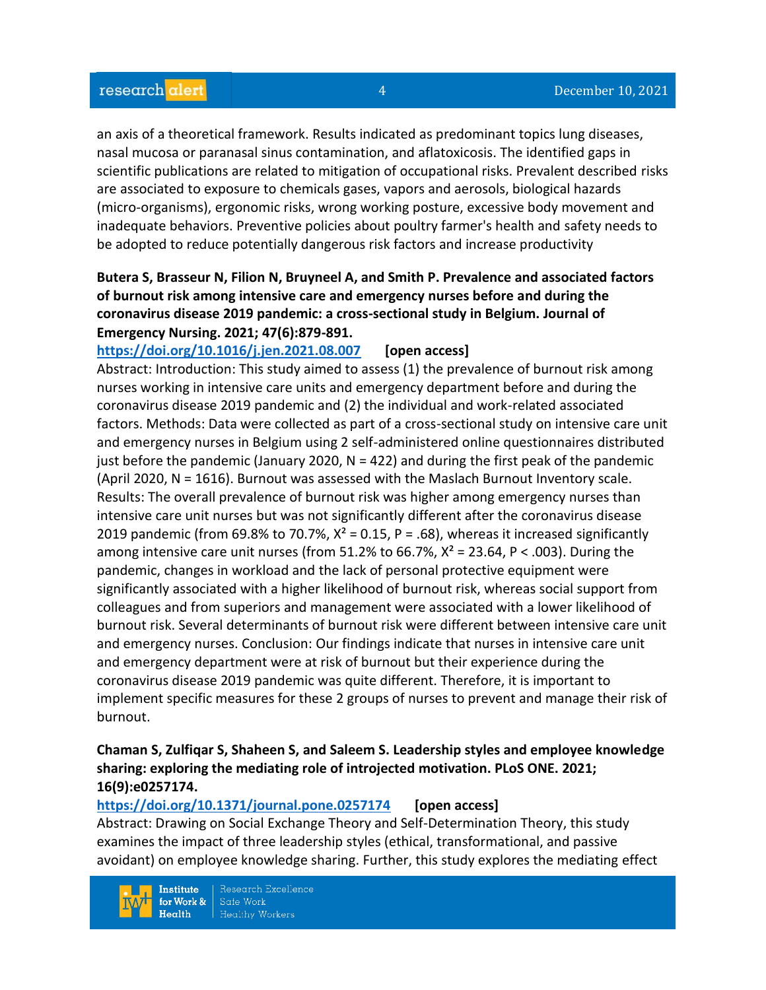an axis of a theoretical framework. Results indicated as predominant topics lung diseases, nasal mucosa or paranasal sinus contamination, and aflatoxicosis. The identified gaps in scientific publications are related to mitigation of occupational risks. Prevalent described risks are associated to exposure to chemicals gases, vapors and aerosols, biological hazards (micro-organisms), ergonomic risks, wrong working posture, excessive body movement and inadequate behaviors. Preventive policies about poultry farmer's health and safety needs to be adopted to reduce potentially dangerous risk factors and increase productivity

## **Butera S, Brasseur N, Filion N, Bruyneel A, and Smith P. Prevalence and associated factors of burnout risk among intensive care and emergency nurses before and during the coronavirus disease 2019 pandemic: a cross-sectional study in Belgium. Journal of Emergency Nursing. 2021; 47(6):879-891.**

**<https://doi.org/10.1016/j.jen.2021.08.007>[open access]**

Abstract: Introduction: This study aimed to assess (1) the prevalence of burnout risk among nurses working in intensive care units and emergency department before and during the coronavirus disease 2019 pandemic and (2) the individual and work-related associated factors. Methods: Data were collected as part of a cross-sectional study on intensive care unit and emergency nurses in Belgium using 2 self-administered online questionnaires distributed just before the pandemic (January 2020,  $N = 422$ ) and during the first peak of the pandemic (April 2020, N = 1616). Burnout was assessed with the Maslach Burnout Inventory scale. Results: The overall prevalence of burnout risk was higher among emergency nurses than intensive care unit nurses but was not significantly different after the coronavirus disease 2019 pandemic (from 69.8% to 70.7%,  $X^2 = 0.15$ , P = .68), whereas it increased significantly among intensive care unit nurses (from 51.2% to 66.7%,  $X^2 = 23.64$ , P < .003). During the pandemic, changes in workload and the lack of personal protective equipment were significantly associated with a higher likelihood of burnout risk, whereas social support from colleagues and from superiors and management were associated with a lower likelihood of burnout risk. Several determinants of burnout risk were different between intensive care unit and emergency nurses. Conclusion: Our findings indicate that nurses in intensive care unit and emergency department were at risk of burnout but their experience during the coronavirus disease 2019 pandemic was quite different. Therefore, it is important to implement specific measures for these 2 groups of nurses to prevent and manage their risk of burnout.

## **Chaman S, Zulfiqar S, Shaheen S, and Saleem S. Leadership styles and employee knowledge sharing: exploring the mediating role of introjected motivation. PLoS ONE. 2021; 16(9):e0257174.**

#### **<https://doi.org/10.1371/journal.pone.0257174>[open access]**

Abstract: Drawing on Social Exchange Theory and Self-Determination Theory, this study examines the impact of three leadership styles (ethical, transformational, and passive avoidant) on employee knowledge sharing. Further, this study explores the mediating effect

Research Excellence **Institute** Safe Work for Work &  $Heath$ **Healthy Workers**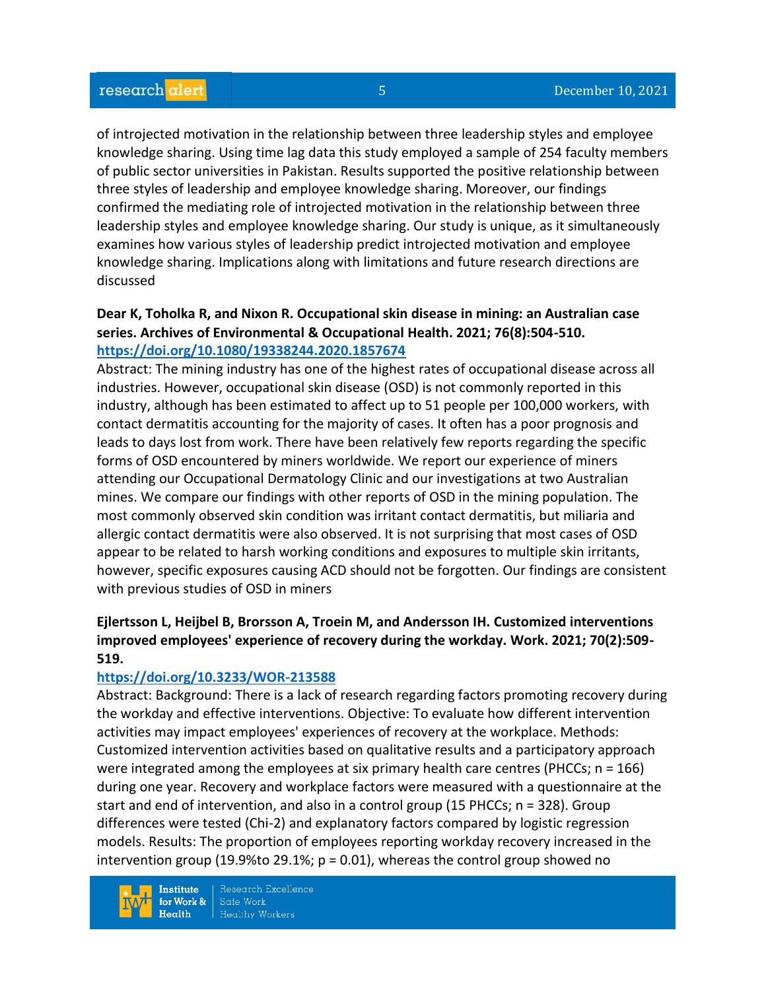of introjected motivation in the relationship between three leadership styles and employee knowledge sharing. Using time lag data this study employed a sample of 254 faculty members of public sector universities in Pakistan. Results supported the positive relationship between three styles of leadership and employee knowledge sharing. Moreover, our findings confirmed the mediating role of introjected motivation in the relationship between three leadership styles and employee knowledge sharing. Our study is unique, as it simultaneously examines how various styles of leadership predict introjected motivation and employee knowledge sharing. Implications along with limitations and future research directions are discussed

## **Dear K, Toholka R, and Nixon R. Occupational skin disease in mining: an Australian case series. Archives of Environmental & Occupational Health. 2021; 76(8):504-510. <https://doi.org/10.1080/19338244.2020.1857674>**

Abstract: The mining industry has one of the highest rates of occupational disease across all industries. However, occupational skin disease (OSD) is not commonly reported in this industry, although has been estimated to affect up to 51 people per 100,000 workers, with contact dermatitis accounting for the majority of cases. It often has a poor prognosis and leads to days lost from work. There have been relatively few reports regarding the specific forms of OSD encountered by miners worldwide. We report our experience of miners attending our Occupational Dermatology Clinic and our investigations at two Australian mines. We compare our findings with other reports of OSD in the mining population. The most commonly observed skin condition was irritant contact dermatitis, but miliaria and allergic contact dermatitis were also observed. It is not surprising that most cases of OSD appear to be related to harsh working conditions and exposures to multiple skin irritants, however, specific exposures causing ACD should not be forgotten. Our findings are consistent with previous studies of OSD in miners

# **Ejlertsson L, Heijbel B, Brorsson A, Troein M, and Andersson IH. Customized interventions improved employees' experience of recovery during the workday. Work. 2021; 70(2):509- 519.**

#### **<https://doi.org/10.3233/WOR-213588>**

Abstract: Background: There is a lack of research regarding factors promoting recovery during the workday and effective interventions. Objective: To evaluate how different intervention activities may impact employees' experiences of recovery at the workplace. Methods: Customized intervention activities based on qualitative results and a participatory approach were integrated among the employees at six primary health care centres (PHCCs;  $n = 166$ ) during one year. Recovery and workplace factors were measured with a questionnaire at the start and end of intervention, and also in a control group (15 PHCCs; n = 328). Group differences were tested (Chi-2) and explanatory factors compared by logistic regression models. Results: The proportion of employees reporting workday recovery increased in the intervention group (19.9% to 29.1%;  $p = 0.01$ ), whereas the control group showed no

**Institute** for Work &  $Health$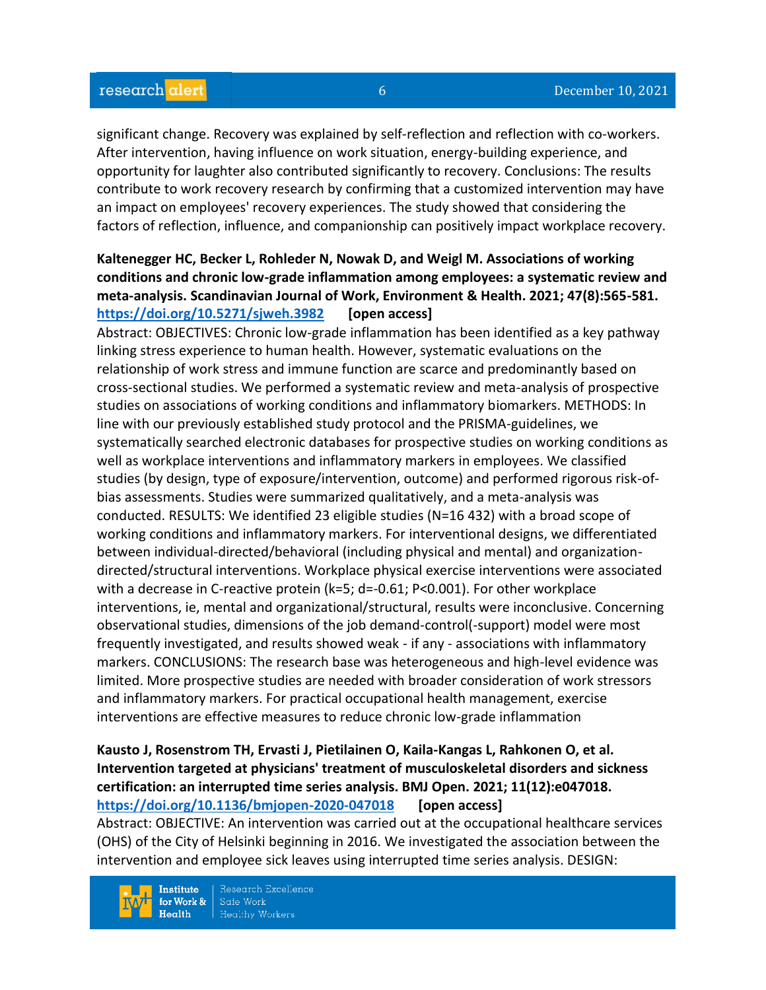significant change. Recovery was explained by self-reflection and reflection with co-workers. After intervention, having influence on work situation, energy-building experience, and opportunity for laughter also contributed significantly to recovery. Conclusions: The results contribute to work recovery research by confirming that a customized intervention may have an impact on employees' recovery experiences. The study showed that considering the factors of reflection, influence, and companionship can positively impact workplace recovery.

# **Kaltenegger HC, Becker L, Rohleder N, Nowak D, and Weigl M. Associations of working conditions and chronic low-grade inflammation among employees: a systematic review and meta-analysis. Scandinavian Journal of Work, Environment & Health. 2021; 47(8):565-581. <https://doi.org/10.5271/sjweh.3982>[open access]**

Abstract: OBJECTIVES: Chronic low-grade inflammation has been identified as a key pathway linking stress experience to human health. However, systematic evaluations on the relationship of work stress and immune function are scarce and predominantly based on cross-sectional studies. We performed a systematic review and meta-analysis of prospective studies on associations of working conditions and inflammatory biomarkers. METHODS: In line with our previously established study protocol and the PRISMA-guidelines, we systematically searched electronic databases for prospective studies on working conditions as well as workplace interventions and inflammatory markers in employees. We classified studies (by design, type of exposure/intervention, outcome) and performed rigorous risk-ofbias assessments. Studies were summarized qualitatively, and a meta-analysis was conducted. RESULTS: We identified 23 eligible studies (N=16 432) with a broad scope of working conditions and inflammatory markers. For interventional designs, we differentiated between individual-directed/behavioral (including physical and mental) and organizationdirected/structural interventions. Workplace physical exercise interventions were associated with a decrease in C-reactive protein (k=5; d=-0.61; P<0.001). For other workplace interventions, ie, mental and organizational/structural, results were inconclusive. Concerning observational studies, dimensions of the job demand-control(-support) model were most frequently investigated, and results showed weak - if any - associations with inflammatory markers. CONCLUSIONS: The research base was heterogeneous and high-level evidence was limited. More prospective studies are needed with broader consideration of work stressors and inflammatory markers. For practical occupational health management, exercise interventions are effective measures to reduce chronic low-grade inflammation

## **Kausto J, Rosenstrom TH, Ervasti J, Pietilainen O, Kaila-Kangas L, Rahkonen O, et al. Intervention targeted at physicians' treatment of musculoskeletal disorders and sickness certification: an interrupted time series analysis. BMJ Open. 2021; 11(12):e047018. <https://doi.org/10.1136/bmjopen-2020-047018>[open access]**

Abstract: OBJECTIVE: An intervention was carried out at the occupational healthcare services (OHS) of the City of Helsinki beginning in 2016. We investigated the association between the intervention and employee sick leaves using interrupted time series analysis. DESIGN:

**Institute** for Work &  $Health$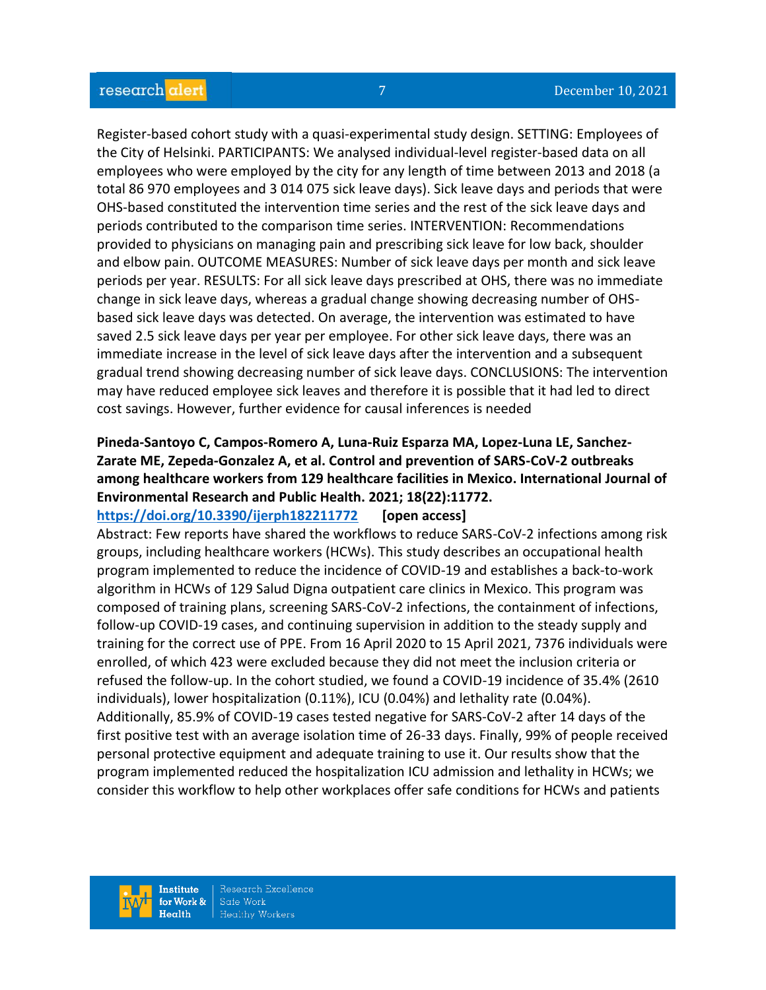Register-based cohort study with a quasi-experimental study design. SETTING: Employees of the City of Helsinki. PARTICIPANTS: We analysed individual-level register-based data on all employees who were employed by the city for any length of time between 2013 and 2018 (a total 86 970 employees and 3 014 075 sick leave days). Sick leave days and periods that were OHS-based constituted the intervention time series and the rest of the sick leave days and periods contributed to the comparison time series. INTERVENTION: Recommendations provided to physicians on managing pain and prescribing sick leave for low back, shoulder and elbow pain. OUTCOME MEASURES: Number of sick leave days per month and sick leave periods per year. RESULTS: For all sick leave days prescribed at OHS, there was no immediate change in sick leave days, whereas a gradual change showing decreasing number of OHSbased sick leave days was detected. On average, the intervention was estimated to have saved 2.5 sick leave days per year per employee. For other sick leave days, there was an immediate increase in the level of sick leave days after the intervention and a subsequent gradual trend showing decreasing number of sick leave days. CONCLUSIONS: The intervention may have reduced employee sick leaves and therefore it is possible that it had led to direct cost savings. However, further evidence for causal inferences is needed

# **Pineda-Santoyo C, Campos-Romero A, Luna-Ruiz Esparza MA, Lopez-Luna LE, Sanchez-Zarate ME, Zepeda-Gonzalez A, et al. Control and prevention of SARS-CoV-2 outbreaks among healthcare workers from 129 healthcare facilities in Mexico. International Journal of Environmental Research and Public Health. 2021; 18(22):11772.**

**<https://doi.org/10.3390/ijerph182211772>[open access]** Abstract: Few reports have shared the workflows to reduce SARS-CoV-2 infections among risk groups, including healthcare workers (HCWs). This study describes an occupational health program implemented to reduce the incidence of COVID-19 and establishes a back-to-work algorithm in HCWs of 129 Salud Digna outpatient care clinics in Mexico. This program was composed of training plans, screening SARS-CoV-2 infections, the containment of infections, follow-up COVID-19 cases, and continuing supervision in addition to the steady supply and training for the correct use of PPE. From 16 April 2020 to 15 April 2021, 7376 individuals were enrolled, of which 423 were excluded because they did not meet the inclusion criteria or refused the follow-up. In the cohort studied, we found a COVID-19 incidence of 35.4% (2610 individuals), lower hospitalization (0.11%), ICU (0.04%) and lethality rate (0.04%). Additionally, 85.9% of COVID-19 cases tested negative for SARS-CoV-2 after 14 days of the first positive test with an average isolation time of 26-33 days. Finally, 99% of people received personal protective equipment and adequate training to use it. Our results show that the program implemented reduced the hospitalization ICU admission and lethality in HCWs; we consider this workflow to help other workplaces offer safe conditions for HCWs and patients

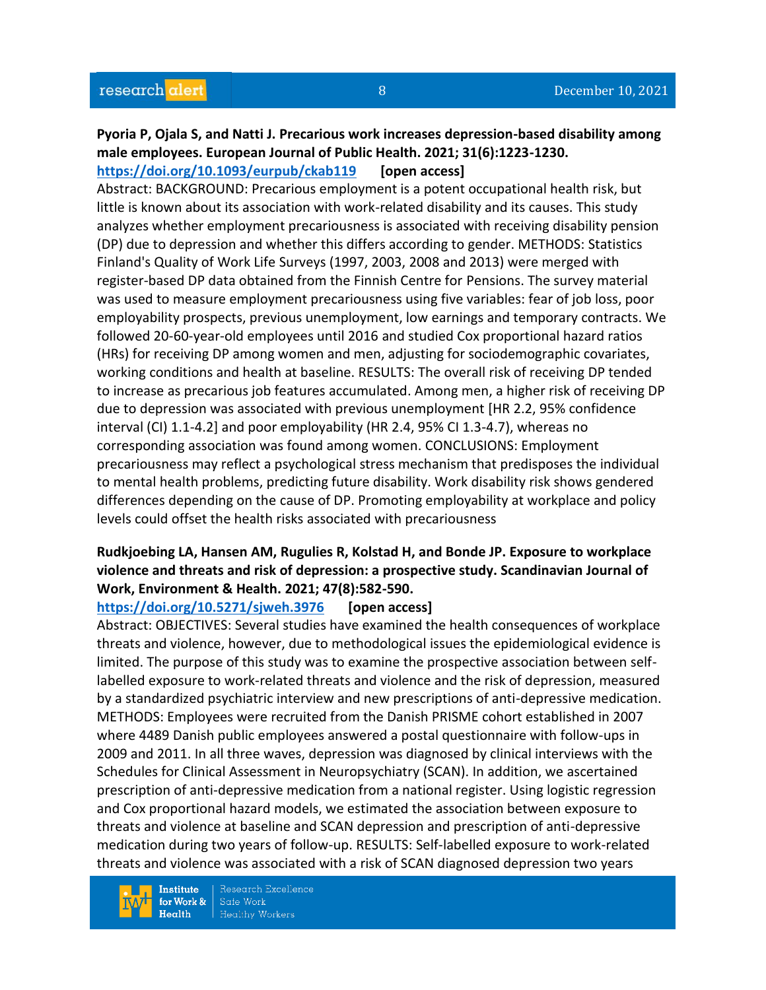## **Pyoria P, Ojala S, and Natti J. Precarious work increases depression-based disability among male employees. European Journal of Public Health. 2021; 31(6):1223-1230. <https://doi.org/10.1093/eurpub/ckab119>[open access]**

Abstract: BACKGROUND: Precarious employment is a potent occupational health risk, but little is known about its association with work-related disability and its causes. This study analyzes whether employment precariousness is associated with receiving disability pension (DP) due to depression and whether this differs according to gender. METHODS: Statistics Finland's Quality of Work Life Surveys (1997, 2003, 2008 and 2013) were merged with register-based DP data obtained from the Finnish Centre for Pensions. The survey material was used to measure employment precariousness using five variables: fear of job loss, poor employability prospects, previous unemployment, low earnings and temporary contracts. We followed 20-60-year-old employees until 2016 and studied Cox proportional hazard ratios (HRs) for receiving DP among women and men, adjusting for sociodemographic covariates, working conditions and health at baseline. RESULTS: The overall risk of receiving DP tended to increase as precarious job features accumulated. Among men, a higher risk of receiving DP due to depression was associated with previous unemployment [HR 2.2, 95% confidence interval (CI) 1.1-4.2] and poor employability (HR 2.4, 95% CI 1.3-4.7), whereas no corresponding association was found among women. CONCLUSIONS: Employment precariousness may reflect a psychological stress mechanism that predisposes the individual to mental health problems, predicting future disability. Work disability risk shows gendered differences depending on the cause of DP. Promoting employability at workplace and policy levels could offset the health risks associated with precariousness

## **Rudkjoebing LA, Hansen AM, Rugulies R, Kolstad H, and Bonde JP. Exposure to workplace violence and threats and risk of depression: a prospective study. Scandinavian Journal of Work, Environment & Health. 2021; 47(8):582-590.**

#### **<https://doi.org/10.5271/sjweh.3976>[open access]**

Abstract: OBJECTIVES: Several studies have examined the health consequences of workplace threats and violence, however, due to methodological issues the epidemiological evidence is limited. The purpose of this study was to examine the prospective association between selflabelled exposure to work-related threats and violence and the risk of depression, measured by a standardized psychiatric interview and new prescriptions of anti-depressive medication. METHODS: Employees were recruited from the Danish PRISME cohort established in 2007 where 4489 Danish public employees answered a postal questionnaire with follow-ups in 2009 and 2011. In all three waves, depression was diagnosed by clinical interviews with the Schedules for Clinical Assessment in Neuropsychiatry (SCAN). In addition, we ascertained prescription of anti-depressive medication from a national register. Using logistic regression and Cox proportional hazard models, we estimated the association between exposure to threats and violence at baseline and SCAN depression and prescription of anti-depressive medication during two years of follow-up. RESULTS: Self-labelled exposure to work-related threats and violence was associated with a risk of SCAN diagnosed depression two years